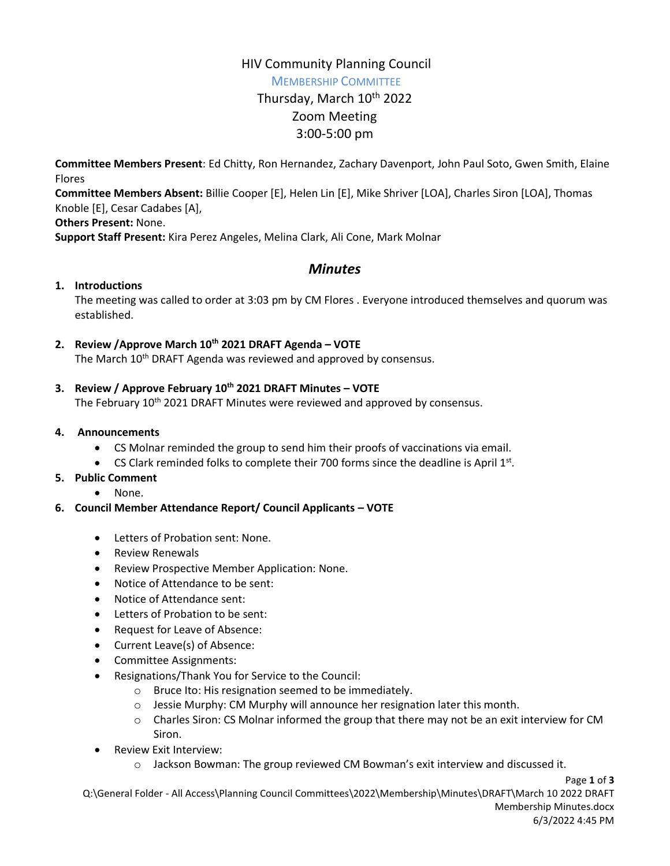# HIV Community Planning Council

MEMBERSHIP COMMITTEE

# Thursday, March 10<sup>th</sup> 2022 Zoom Meeting 3:00-5:00 pm

**Committee Members Present**: Ed Chitty, Ron Hernandez, Zachary Davenport, John Paul Soto, Gwen Smith, Elaine Flores

**Committee Members Absent:** Billie Cooper [E], Helen Lin [E], Mike Shriver [LOA], Charles Siron [LOA], Thomas Knoble [E], Cesar Cadabes [A],

**Others Present:** None.

**Support Staff Present:** Kira Perez Angeles, Melina Clark, Ali Cone, Mark Molnar

# *Minutes*

### **1. Introductions**

The meeting was called to order at 3:03 pm by CM Flores . Everyone introduced themselves and quorum was established.

**2. Review /Approve March 10th 2021 DRAFT Agenda – VOTE**

The March 10<sup>th</sup> DRAFT Agenda was reviewed and approved by consensus.

**3. Review / Approve February 10th 2021 DRAFT Minutes – VOTE**

The February 10<sup>th</sup> 2021 DRAFT Minutes were reviewed and approved by consensus.

#### **4. Announcements**

- CS Molnar reminded the group to send him their proofs of vaccinations via email.
- CS Clark reminded folks to complete their 700 forms since the deadline is April  $1<sup>st</sup>$ .

#### **5. Public Comment**

- None.
- **6. Council Member Attendance Report/ Council Applicants – VOTE**
	- Letters of Probation sent: None.
	- Review Renewals
	- Review Prospective Member Application: None.
	- Notice of Attendance to be sent:
	- Notice of Attendance sent:
	- Letters of Probation to be sent:
	- Request for Leave of Absence:
	- Current Leave(s) of Absence:
	- Committee Assignments:
	- Resignations/Thank You for Service to the Council:
		- o Bruce Ito: His resignation seemed to be immediately.
		- $\circ$  Jessie Murphy: CM Murphy will announce her resignation later this month.
		- $\circ$  Charles Siron: CS Molnar informed the group that there may not be an exit interview for CM Siron.
	- Review Exit Interview:
		- $\circ$  Jackson Bowman: The group reviewed CM Bowman's exit interview and discussed it.

Page **1** of **3** Q:\General Folder - All Access\Planning Council Committees\2022\Membership\Minutes\DRAFT\March 10 2022 DRAFT Membership Minutes.docx 6/3/2022 4:45 PM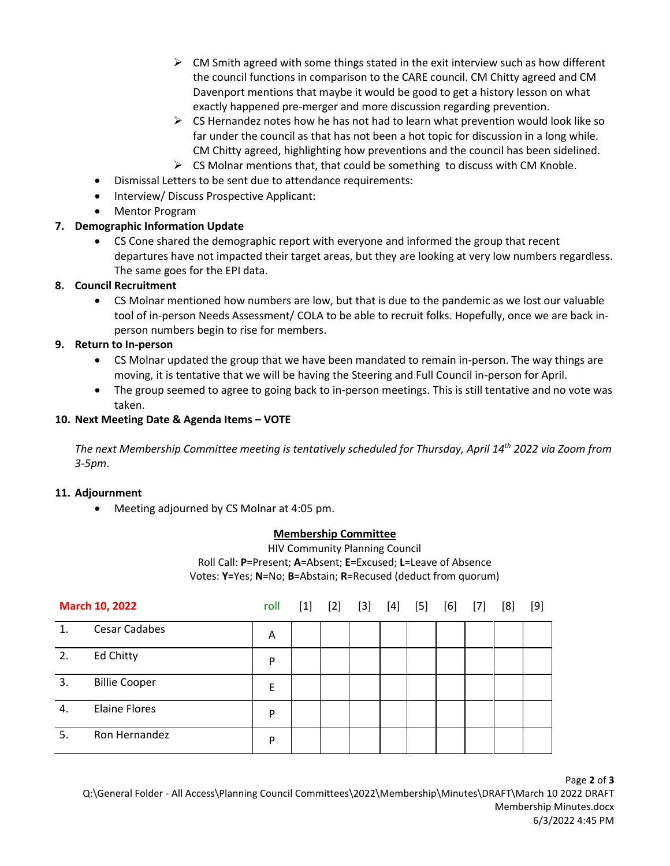- $\triangleright$  CM Smith agreed with some things stated in the exit interview such as how different the council functions in comparison to the CARE council. CM Chitty agreed and CM Davenport mentions that maybe it would be good to get a history lesson on what exactly happened pre-merger and more discussion regarding prevention.
- $\triangleright$  CS Hernandez notes how he has not had to learn what prevention would look like so far under the council as that has not been a hot topic for discussion in a long while. CM Chitty agreed, highlighting how preventions and the council has been sidelined.
- $\triangleright$  CS Molnar mentions that, that could be something to discuss with CM Knoble.
- Dismissal Letters to be sent due to attendance requirements:
- Interview/ Discuss Prospective Applicant:
- Mentor Program

# **7. Demographic Information Update**

 CS Cone shared the demographic report with everyone and informed the group that recent departures have not impacted their target areas, but they are looking at very low numbers regardless. The same goes for the EPI data.

# **8. Council Recruitment**

 CS Molnar mentioned how numbers are low, but that is due to the pandemic as we lost our valuable tool of in-person Needs Assessment/ COLA to be able to recruit folks. Hopefully, once we are back inperson numbers begin to rise for members.

# **9. Return to In-person**

- CS Molnar updated the group that we have been mandated to remain in-person. The way things are moving, it is tentative that we will be having the Steering and Full Council in-person for April.
- The group seemed to agree to going back to in-person meetings. This is still tentative and no vote was taken.

### **10. Next Meeting Date & Agenda Items – VOTE**

*The next Membership Committee meeting is tentatively scheduled for Thursday, April 14th 2022 via Zoom from 3-5pm.* 

### **11. Adjournment**

Meeting adjourned by CS Molnar at 4:05 pm.

### **Membership Committee**

HIV Community Planning Council Roll Call: **P**=Present; **A**=Absent; **E**=Excused; **L**=Leave of Absence Votes: **Y=**Yes; **N**=No; **B**=Abstain; **R**=Recused (deduct from quorum)

| <b>March 10, 2022</b> |                      | roll | $[1]$ | $[2]$ | $[3]$ | $[4]$ | $[5]$ | [6] | $[7]$ | [8] | [9] |
|-----------------------|----------------------|------|-------|-------|-------|-------|-------|-----|-------|-----|-----|
| 1.                    | <b>Cesar Cadabes</b> | Α    |       |       |       |       |       |     |       |     |     |
| 2.                    | Ed Chitty            | P    |       |       |       |       |       |     |       |     |     |
| 3.                    | <b>Billie Cooper</b> | E    |       |       |       |       |       |     |       |     |     |
| 4.                    | <b>Elaine Flores</b> | P    |       |       |       |       |       |     |       |     |     |
| 5.                    | Ron Hernandez        | P    |       |       |       |       |       |     |       |     |     |

Page **2** of **3** Q:\General Folder - All Access\Planning Council Committees\2022\Membership\Minutes\DRAFT\March 10 2022 DRAFT Membership Minutes.docx 6/3/2022 4:45 PM